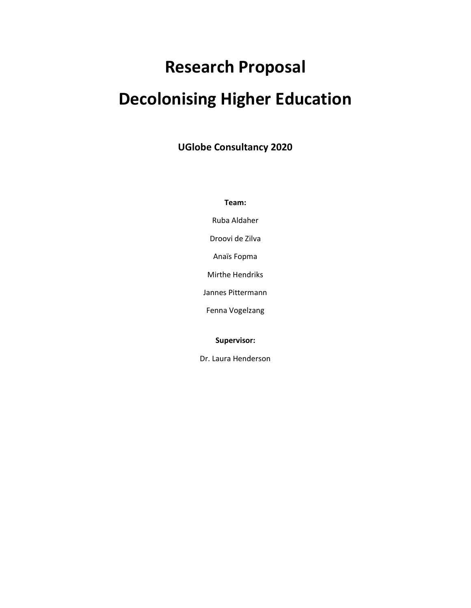# **Research Proposal Decolonising Higher Education**

**UGlobe Consultancy 2020**

**Team:**

Ruba Aldaher

Droovi de Zilva

Anaïs Fopma

Mirthe Hendriks

Jannes Pittermann

Fenna Vogelzang

**Supervisor:**

Dr. Laura Henderson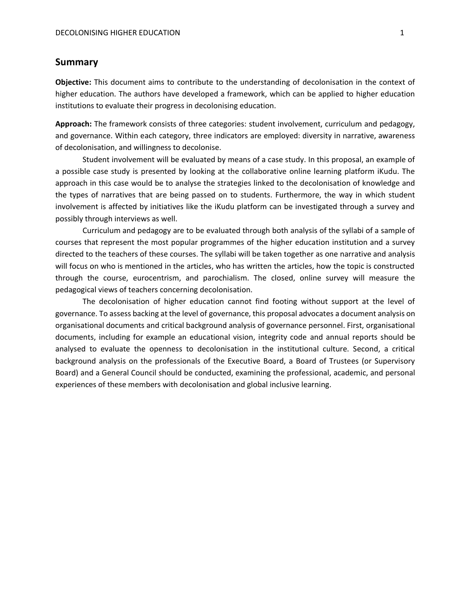## **Summary**

**Objective:** This document aims to contribute to the understanding of decolonisation in the context of higher education. The authors have developed a framework, which can be applied to higher education institutions to evaluate their progress in decolonising education.

**Approach:** The framework consists of three categories: student involvement, curriculum and pedagogy, and governance. Within each category, three indicators are employed: diversity in narrative, awareness of decolonisation, and willingness to decolonise.

Student involvement will be evaluated by means of a case study. In this proposal, an example of a possible case study is presented by looking at the collaborative online learning platform iKudu. The approach in this case would be to analyse the strategies linked to the decolonisation of knowledge and the types of narratives that are being passed on to students. Furthermore, the way in which student involvement is affected by initiatives like the iKudu platform can be investigated through a survey and possibly through interviews as well.

Curriculum and pedagogy are to be evaluated through both analysis of the syllabi of a sample of courses that represent the most popular programmes of the higher education institution and a survey directed to the teachers of these courses. The syllabi will be taken together as one narrative and analysis will focus on who is mentioned in the articles, who has written the articles, how the topic is constructed through the course, eurocentrism, and parochialism. The closed, online survey will measure the pedagogical views of teachers concerning decolonisation.

The decolonisation of higher education cannot find footing without support at the level of governance. To assess backing at the level of governance, this proposal advocates a document analysis on organisational documents and critical background analysis of governance personnel. First, organisational documents, including for example an educational vision, integrity code and annual reports should be analysed to evaluate the openness to decolonisation in the institutional culture. Second, a critical background analysis on the professionals of the Executive Board, a Board of Trustees (or Supervisory Board) and a General Council should be conducted, examining the professional, academic, and personal experiences of these members with decolonisation and global inclusive learning.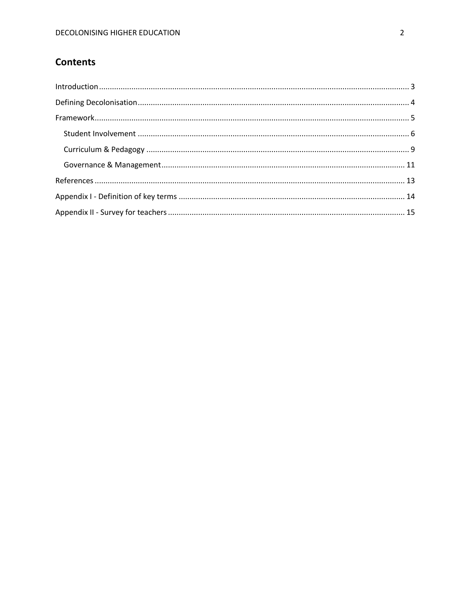# **Contents**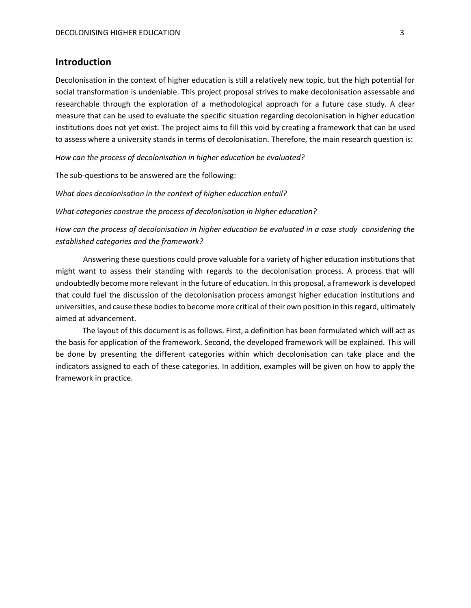# <span id="page-3-0"></span>**Introduction**

Decolonisation in the context of higher education is still a relatively new topic, but the high potential for social transformation is undeniable. This project proposal strives to make decolonisation assessable and researchable through the exploration of a methodological approach for a future case study. A clear measure that can be used to evaluate the specific situation regarding decolonisation in higher education institutions does not yet exist. The project aims to fill this void by creating a framework that can be used to assess where a university stands in terms of decolonisation. Therefore, the main research question is:

*How can the process of decolonisation in higher education be evaluated?*

The sub-questions to be answered are the following:

*What does decolonisation in the context of higher education entail?* 

*What categories construe the process of decolonisation in higher education?*

*How can the process of decolonisation in higher education be evaluated in a case study considering the established categories and the framework?* 

Answering these questions could prove valuable for a variety of higher education institutions that might want to assess their standing with regards to the decolonisation process. A process that will undoubtedly become more relevant in the future of education. In this proposal, a framework is developed that could fuel the discussion of the decolonisation process amongst higher education institutions and universities, and cause these bodies to become more critical of their own position in this regard, ultimately aimed at advancement.

The layout of this document is as follows. First, a definition has been formulated which will act as the basis for application of the framework. Second, the developed framework will be explained. This will be done by presenting the different categories within which decolonisation can take place and the indicators assigned to each of these categories. In addition, examples will be given on how to apply the framework in practice.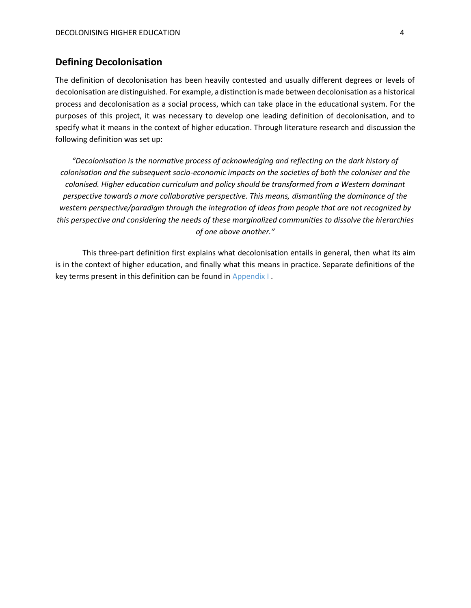# <span id="page-4-0"></span>**Defining Decolonisation**

The definition of decolonisation has been heavily contested and usually different degrees or levels of decolonisation are distinguished. For example, a distinction is made between decolonisation as a historical process and decolonisation as a social process, which can take place in the educational system. For the purposes of this project, it was necessary to develop one leading definition of decolonisation, and to specify what it means in the context of higher education. Through literature research and discussion the following definition was set up:

*"Decolonisation is the normative process of acknowledging and reflecting on the dark history of colonisation and the subsequent socio-economic impacts on the societies of both the coloniser and the colonised. Higher education curriculum and policy should be transformed from a Western dominant perspective towards a more collaborative perspective. This means, dismantling the dominance of the western perspective/paradigm through the integration of ideas from people that are not recognized by this perspective and considering the needs of these marginalized communities to dissolve the hierarchies of one above another."*

This three-part definition first explains what decolonisation entails in general, then what its aim is in the context of higher education, and finally what this means in practice. Separate definitions of the key terms present in this definition can be found in [Appendix I](#page-14-0) .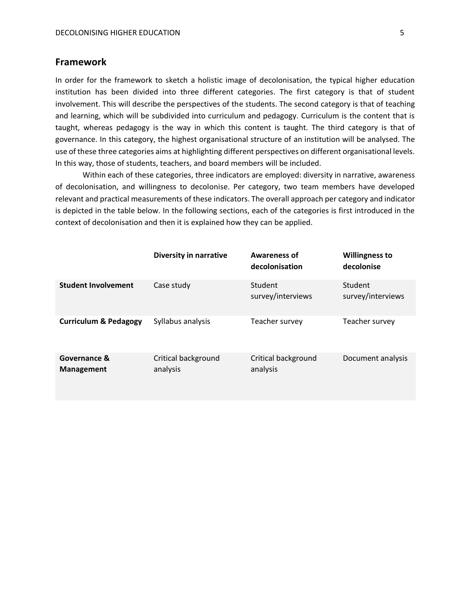# <span id="page-5-0"></span>**Framework**

In order for the framework to sketch a holistic image of decolonisation, the typical higher education institution has been divided into three different categories. The first category is that of student involvement. This will describe the perspectives of the students. The second category is that of teaching and learning, which will be subdivided into curriculum and pedagogy. Curriculum is the content that is taught, whereas pedagogy is the way in which this content is taught. The third category is that of governance. In this category, the highest organisational structure of an institution will be analysed. The use of these three categories aims at highlighting different perspectives on different organisational levels. In this way, those of students, teachers, and board members will be included.

Within each of these categories, three indicators are employed: diversity in narrative, awareness of decolonisation, and willingness to decolonise. Per category, two team members have developed relevant and practical measurements of these indicators. The overall approach per category and indicator is depicted in the table below. In the following sections, each of the categories is first introduced in the context of decolonisation and then it is explained how they can be applied.

|                                  | <b>Diversity in narrative</b>   | <b>Awareness of</b><br>decolonisation | <b>Willingness to</b><br>decolonise |
|----------------------------------|---------------------------------|---------------------------------------|-------------------------------------|
| <b>Student Involvement</b>       | Case study                      | Student<br>survey/interviews          | Student<br>survey/interviews        |
| <b>Curriculum &amp; Pedagogy</b> | Syllabus analysis               | Teacher survey                        | Teacher survey                      |
| Governance &<br>Management       | Critical background<br>analysis | Critical background<br>analysis       | Document analysis                   |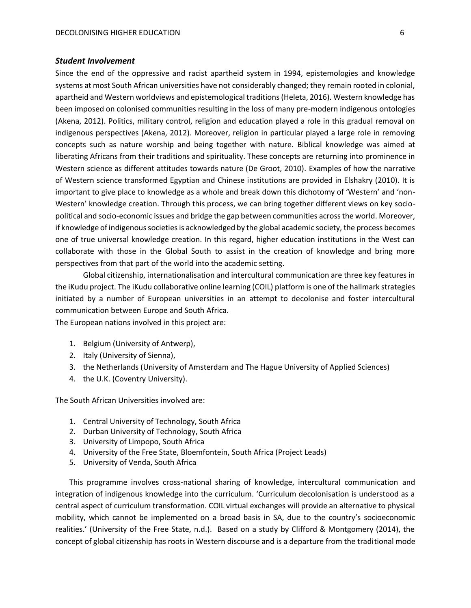#### <span id="page-6-0"></span>*Student Involvement*

Since the end of the oppressive and racist apartheid system in 1994, epistemologies and knowledge systems at most South African universities have not considerably changed; they remain rooted in colonial, apartheid and Western worldviews and epistemological traditions (Heleta, 2016). Western knowledge has been imposed on colonised communities resulting in the loss of many pre-modern indigenous ontologies (Akena, 2012). Politics, military control, religion and education played a role in this gradual removal on indigenous perspectives (Akena, 2012). Moreover, religion in particular played a large role in removing concepts such as nature worship and being together with nature. Biblical knowledge was aimed at liberating Africans from their traditions and spirituality. These concepts are returning into prominence in Western science as different attitudes towards nature (De Groot, 2010). Examples of how the narrative of Western science transformed Egyptian and Chinese institutions are provided in Elshakry (2010). It is important to give place to knowledge as a whole and break down this dichotomy of 'Western' and 'non-Western' knowledge creation. Through this process, we can bring together different views on key sociopolitical and socio-economic issues and bridge the gap between communities across the world. Moreover, if knowledge of indigenous societies is acknowledged by the global academic society, the process becomes one of true universal knowledge creation. In this regard, higher education institutions in the West can collaborate with those in the Global South to assist in the creation of knowledge and bring more perspectives from that part of the world into the academic setting.

Global citizenship, internationalisation and intercultural communication are three key features in the iKudu project. The iKudu collaborative online learning (COIL) platform is one of the hallmark strategies initiated by a number of European universities in an attempt to decolonise and foster intercultural communication between Europe and South Africa.

The European nations involved in this project are:

- 1. Belgium (University of Antwerp),
- 2. Italy (University of Sienna),
- 3. the Netherlands (University of Amsterdam and The Hague University of Applied Sciences)
- 4. the U.K. (Coventry University).

The South African Universities involved are:

- 1. Central University of Technology, South Africa
- 2. Durban University of Technology, South Africa
- 3. University of Limpopo, South Africa
- 4. University of the Free State, Bloemfontein, South Africa (Project Leads)
- 5. University of Venda, South Africa

This programme involves cross-national sharing of knowledge, intercultural communication and integration of indigenous knowledge into the curriculum. 'Curriculum decolonisation is understood as a central aspect of curriculum transformation. COIL virtual exchanges will provide an alternative to physical mobility, which cannot be implemented on a broad basis in SA, due to the country's socioeconomic realities.' (University of the Free State, n.d.). Based on a study by Clifford & Montgomery (2014), the concept of global citizenship has roots in Western discourse and is a departure from the traditional mode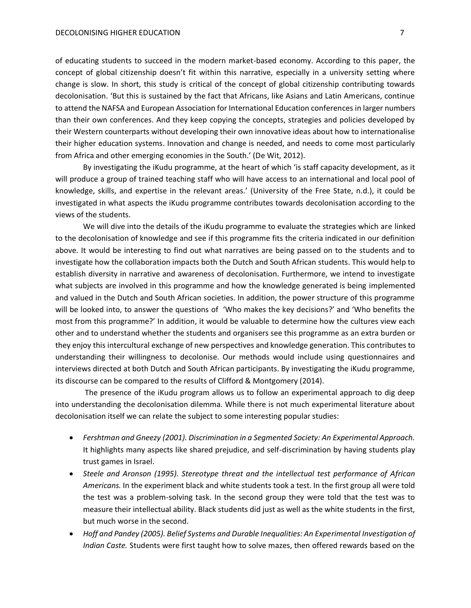of educating students to succeed in the modern market-based economy. According to this paper, the concept of global citizenship doesn't fit within this narrative, especially in a university setting where change is slow. In short, this study is critical of the concept of global citizenship contributing towards decolonisation. 'But this is sustained by the fact that Africans, like Asians and Latin Americans, continue to attend the NAFSA and European Association for International Education conferences in larger numbers than their own conferences. And they keep copying the concepts, strategies and policies developed by their Western counterparts without developing their own innovative ideas about how to internationalise their higher education systems. Innovation and change is needed, and needs to come most particularly from Africa and other emerging economies in the South.' (D[e Wit,](https://www.universityworldnews.com/fullsearch.php?mode=search&writer=Hans+de+Wit) 2012).

By investigating the iKudu programme, at the heart of which 'is staff capacity development, as it will produce a group of trained teaching staff who will have access to an international and local pool of knowledge, skills, and expertise in the relevant areas.' (University of the Free State, n.d.), it could be investigated in what aspects the iKudu programme contributes towards decolonisation according to the views of the students.

We will dive into the details of the iKudu programme to evaluate the strategies which are linked to the decolonisation of knowledge and see if this programme fits the criteria indicated in our definition above. It would be interesting to find out what narratives are being passed on to the students and to investigate how the collaboration impacts both the Dutch and South African students. This would help to establish diversity in narrative and awareness of decolonisation. Furthermore, we intend to investigate what subjects are involved in this programme and how the knowledge generated is being implemented and valued in the Dutch and South African societies. In addition, the power structure of this programme will be looked into, to answer the questions of 'Who makes the key decisions?' and 'Who benefits the most from this programme?' In addition, it would be valuable to determine how the cultures view each other and to understand whether the students and organisers see this programme as an extra burden or they enjoy this intercultural exchange of new perspectives and knowledge generation. This contributes to understanding their willingness to decolonise. Our methods would include using questionnaires and interviews directed at both Dutch and South African participants. By investigating the iKudu programme, its discourse can be compared to the results of Clifford & Montgomery (2014).

The presence of the iKudu program allows us to follow an experimental approach to dig deep into understanding the decolonisation dilemma. While there is not much experimental literature about decolonisation itself we can relate the subject to some interesting popular studies:

- *Fershtman and Gneezy (2001). Discrimination in a Segmented Society: An Experimental Approach.* It highlights many aspects like shared prejudice, and self-discrimination by having students play trust games in Israel.
- *Steele and Aronson (1995). Stereotype threat and the intellectual test performance of African Americans.* In the experiment black and white students took a test. In the first group all were told the test was a problem-solving task. In the second group they were told that the test was to measure their intellectual ability. Black students did just as well as the white students in the first, but much worse in the second.
- *Hoff and Pandey (2005). Belief Systems and Durable Inequalities: An Experimental Investigation of Indian Caste.* Students were first taught how to solve mazes, then offered rewards based on the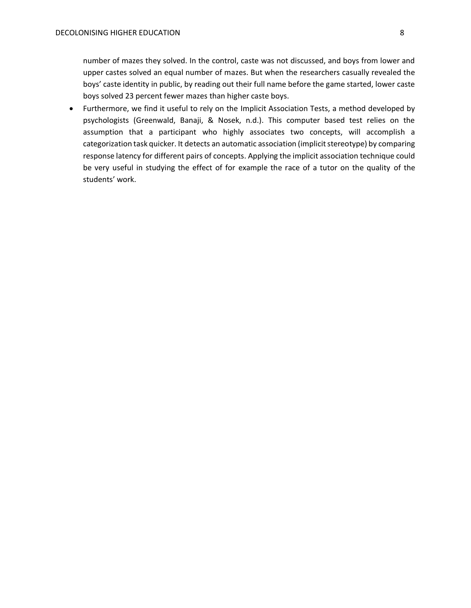number of mazes they solved. In the control, caste was not discussed, and boys from lower and upper castes solved an equal number of mazes. But when the researchers casually revealed the boys' caste identity in public, by reading out their full name before the game started, lower caste boys solved 23 percent fewer mazes than higher caste boys.

 Furthermore, we find it useful to rely on the Implicit Association Tests, a method developed by psychologists (Greenwald, Banaji, & Nosek, n.d.). This computer based test relies on the assumption that a participant who highly associates two concepts, will accomplish a categorization task quicker. It detects an automatic association (implicit stereotype) by comparing response latency for different pairs of concepts. Applying the implicit association technique could be very useful in studying the effect of for example the race of a tutor on the quality of the students' work.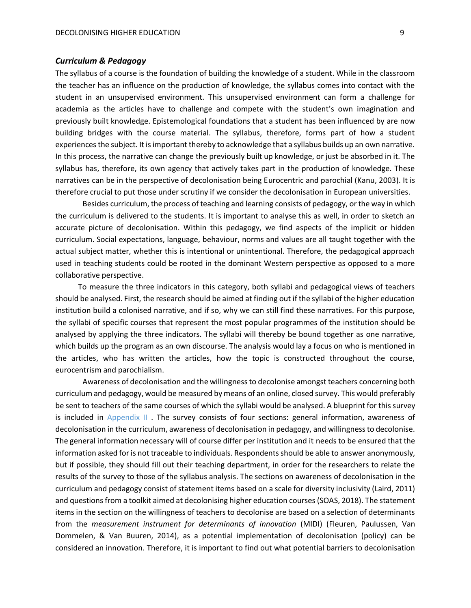#### <span id="page-9-0"></span>*Curriculum & Pedagogy*

The syllabus of a course is the foundation of building the knowledge of a student. While in the classroom the teacher has an influence on the production of knowledge, the syllabus comes into contact with the student in an unsupervised environment. This unsupervised environment can form a challenge for academia as the articles have to challenge and compete with the student's own imagination and previously built knowledge. Epistemological foundations that a student has been influenced by are now building bridges with the course material. The syllabus, therefore, forms part of how a student experiences the subject. It is important thereby to acknowledge that a syllabus builds up an own narrative. In this process, the narrative can change the previously built up knowledge, or just be absorbed in it. The syllabus has, therefore, its own agency that actively takes part in the production of knowledge. These narratives can be in the perspective of decolonisation being Eurocentric and parochial (Kanu, 2003). It is therefore crucial to put those under scrutiny if we consider the decolonisation in European universities.

Besides curriculum, the process of teaching and learning consists of pedagogy, or the way in which the curriculum is delivered to the students. It is important to analyse this as well, in order to sketch an accurate picture of decolonisation. Within this pedagogy, we find aspects of the implicit or hidden curriculum. Social expectations, language, behaviour, norms and values are all taught together with the actual subject matter, whether this is intentional or unintentional. Therefore, the pedagogical approach used in teaching students could be rooted in the dominant Western perspective as opposed to a more collaborative perspective.

 To measure the three indicators in this category, both syllabi and pedagogical views of teachers should be analysed. First, the research should be aimed at finding out if the syllabi of the higher education institution build a colonised narrative, and if so, why we can still find these narratives. For this purpose, the syllabi of specific courses that represent the most popular programmes of the institution should be analysed by applying the three indicators. The syllabi will thereby be bound together as one narrative, which builds up the program as an own discourse. The analysis would lay a focus on who is mentioned in the articles, who has written the articles, how the topic is constructed throughout the course, eurocentrism and parochialism.

Awareness of decolonisation and the willingness to decolonise amongst teachers concerning both curriculum and pedagogy, would be measured by means of an online, closed survey. This would preferably be sent to teachers of the same courses of which the syllabi would be analysed. A blueprint for this survey is included in [Appendix II](#page-15-0) . The survey consists of four sections: general information, awareness of decolonisation in the curriculum, awareness of decolonisation in pedagogy, and willingness to decolonise. The general information necessary will of course differ per institution and it needs to be ensured that the information asked for is not traceable to individuals. Respondents should be able to answer anonymously, but if possible, they should fill out their teaching department, in order for the researchers to relate the results of the survey to those of the syllabus analysis. The sections on awareness of decolonisation in the curriculum and pedagogy consist of statement items based on a scale for diversity inclusivity (Laird, 2011) and questions from a toolkit aimed at decolonising higher education courses (SOAS, 2018). The statement items in the section on the willingness of teachers to decolonise are based on a selection of determinants from the *measurement instrument for determinants of innovation* (MIDI) (Fleuren, Paulussen, Van Dommelen, & Van Buuren, 2014), as a potential implementation of decolonisation (policy) can be considered an innovation. Therefore, it is important to find out what potential barriers to decolonisation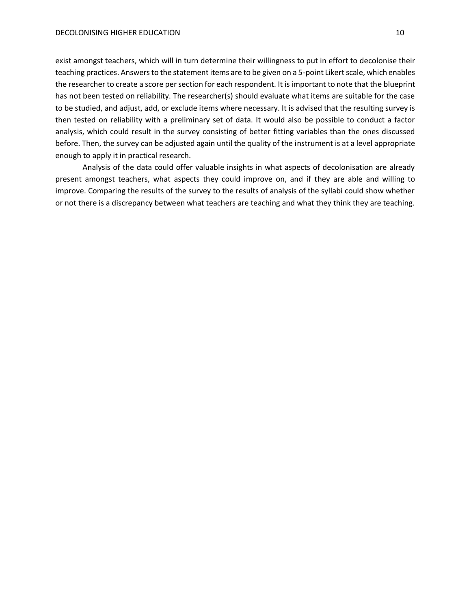exist amongst teachers, which will in turn determine their willingness to put in effort to decolonise their teaching practices. Answers to the statement items are to be given on a 5-point Likert scale, which enables the researcher to create a score per section for each respondent. It is important to note that the blueprint has not been tested on reliability. The researcher(s) should evaluate what items are suitable for the case to be studied, and adjust, add, or exclude items where necessary. It is advised that the resulting survey is then tested on reliability with a preliminary set of data. It would also be possible to conduct a factor analysis, which could result in the survey consisting of better fitting variables than the ones discussed before. Then, the survey can be adjusted again until the quality of the instrument is at a level appropriate enough to apply it in practical research.

Analysis of the data could offer valuable insights in what aspects of decolonisation are already present amongst teachers, what aspects they could improve on, and if they are able and willing to improve. Comparing the results of the survey to the results of analysis of the syllabi could show whether or not there is a discrepancy between what teachers are teaching and what they think they are teaching.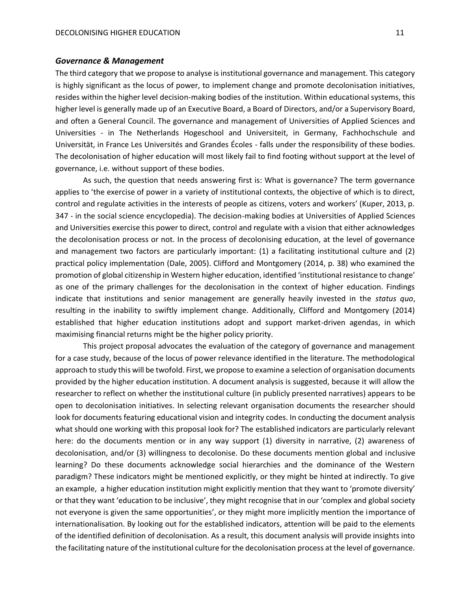#### <span id="page-11-0"></span>*Governance & Management*

The third category that we propose to analyse is institutional governance and management. This category is highly significant as the locus of power, to implement change and promote decolonisation initiatives, resides within the higher level decision-making bodies of the institution. Within educational systems, this higher level is generally made up of an Executive Board, a Board of Directors, and/or a Supervisory Board, and often a General Council. The governance and management of Universities of Applied Sciences and Universities - in The Netherlands Hogeschool and Universiteit, in Germany, Fachhochschule and Universitӓt, in France Les Universités and Grandes Écoles - falls under the responsibility of these bodies. The decolonisation of higher education will most likely fail to find footing without support at the level of governance, i.e. without support of these bodies.

As such, the question that needs answering first is: What is governance? The term governance applies to 'the exercise of power in a variety of institutional contexts, the objective of which is to direct, control and regulate activities in the interests of people as citizens, voters and workers' (Kuper, 2013, p. 347 - in the social science encyclopedia). The decision-making bodies at Universities of Applied Sciences and Universities exercise this power to direct, control and regulate with a vision that either acknowledges the decolonisation process or not. In the process of decolonising education, at the level of governance and management two factors are particularly important: (1) a facilitating institutional culture and (2) practical policy implementation (Dale, 2005). Clifford and Montgomery (2014, p. 38) who examined the promotion of global citizenship in Western higher education, identified 'institutional resistance to change' as one of the primary challenges for the decolonisation in the context of higher education. Findings indicate that institutions and senior management are generally heavily invested in the *status quo*, resulting in the inability to swiftly implement change. Additionally, Clifford and Montgomery (2014) established that higher education institutions adopt and support market-driven agendas, in which maximising financial returns might be the higher policy priority.

This project proposal advocates the evaluation of the category of governance and management for a case study, because of the locus of power relevance identified in the literature. The methodological approach to study this will be twofold. First, we propose to examine a selection of organisation documents provided by the higher education institution. A document analysis is suggested, because it will allow the researcher to reflect on whether the institutional culture (in publicly presented narratives) appears to be open to decolonisation initiatives. In selecting relevant organisation documents the researcher should look for documents featuring educational vision and integrity codes. In conducting the document analysis what should one working with this proposal look for? The established indicators are particularly relevant here: do the documents mention or in any way support (1) diversity in narrative, (2) awareness of decolonisation, and/or (3) willingness to decolonise. Do these documents mention global and inclusive learning? Do these documents acknowledge social hierarchies and the dominance of the Western paradigm? These indicators might be mentioned explicitly, or they might be hinted at indirectly. To give an example, a higher education institution might explicitly mention that they want to 'promote diversity' or that they want 'education to be inclusive', they might recognise that in our 'complex and global society not everyone is given the same opportunities', or they might more implicitly mention the importance of internationalisation. By looking out for the established indicators, attention will be paid to the elements of the identified definition of decolonisation. As a result, this document analysis will provide insights into the facilitating nature of the institutional culture for the decolonisation process at the level of governance.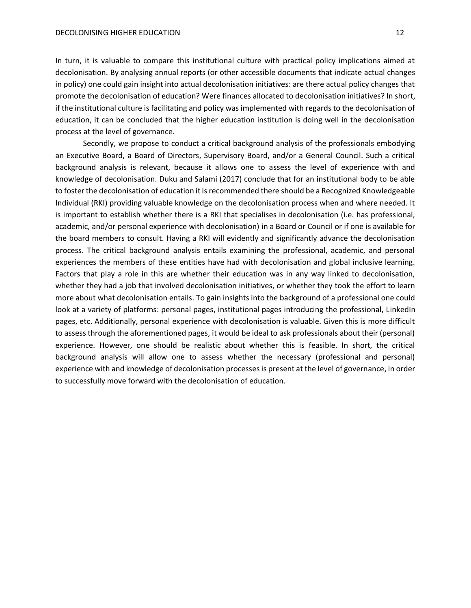In turn, it is valuable to compare this institutional culture with practical policy implications aimed at decolonisation. By analysing annual reports (or other accessible documents that indicate actual changes in policy) one could gain insight into actual decolonisation initiatives: are there actual policy changes that promote the decolonisation of education? Were finances allocated to decolonisation initiatives? In short, if the institutional culture is facilitating and policy was implemented with regards to the decolonisation of education, it can be concluded that the higher education institution is doing well in the decolonisation process at the level of governance.

Secondly, we propose to conduct a critical background analysis of the professionals embodying an Executive Board, a Board of Directors, Supervisory Board, and/or a General Council. Such a critical background analysis is relevant, because it allows one to assess the level of experience with and knowledge of decolonisation. Duku and Salami (2017) conclude that for an institutional body to be able to foster the decolonisation of education it is recommended there should be a Recognized Knowledgeable Individual (RKI) providing valuable knowledge on the decolonisation process when and where needed. It is important to establish whether there is a RKI that specialises in decolonisation (i.e. has professional, academic, and/or personal experience with decolonisation) in a Board or Council or if one is available for the board members to consult. Having a RKI will evidently and significantly advance the decolonisation process. The critical background analysis entails examining the professional, academic, and personal experiences the members of these entities have had with decolonisation and global inclusive learning. Factors that play a role in this are whether their education was in any way linked to decolonisation, whether they had a job that involved decolonisation initiatives, or whether they took the effort to learn more about what decolonisation entails. To gain insights into the background of a professional one could look at a variety of platforms: personal pages, institutional pages introducing the professional, LinkedIn pages, etc. Additionally, personal experience with decolonisation is valuable. Given this is more difficult to assess through the aforementioned pages, it would be ideal to ask professionals about their (personal) experience. However, one should be realistic about whether this is feasible. In short, the critical background analysis will allow one to assess whether the necessary (professional and personal) experience with and knowledge of decolonisation processes is present at the level of governance, in order to successfully move forward with the decolonisation of education.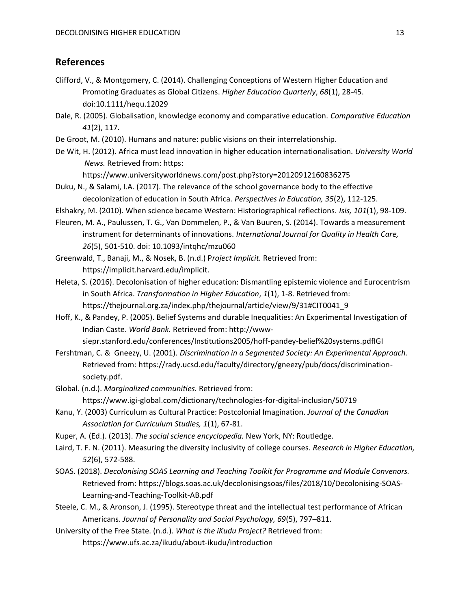# <span id="page-13-0"></span>**References**

- Clifford, V., & Montgomery, C. (2014). Challenging Conceptions of Western Higher Education and Promoting Graduates as Global Citizens. *Higher Education Quarterly*, *68*(1), 28-45. doi:10.1111/hequ.12029
- Dale, R. (2005). Globalisation, knowledge economy and comparative education. *Comparative Education 41*(2), 117.
- De Groot, M. (2010). Humans and nature: public visions on their interrelationship.
- De Wit, H. (2012). Africa must lead innovation in higher education internationalisation. *University World News.* Retrieved from: https:

https://www.universityworldnews.com/post.php?story=20120912160836275

- Duku, N., & Salami, I.A. (2017). The relevance of the school governance body to the effective decolonization of education in South Africa. *Perspectives in Education, 35*(2), 112-125.
- Elshakry, M. (2010). When science became Western: Historiographical reflections. *Isis, 101*(1), 98-109.
- Fleuren, M. A., Paulussen, T. G., Van Dommelen, P., & Van Buuren, S. (2014). Towards a measurement instrument for determinants of innovations*. International Journal for Quality in Health Care, 26*(5), 501-510. doi: 10.1093/intqhc/mzu060
- Greenwald, T., Banaji, M., & Nosek, B. (n.d.) P*roject Implicit.* Retrieved from: [https://implicit.harvard.edu/implicit.](https://implicit.harvard.edu/implicit)
- Heleta, S. (2016). Decolonisation of higher education: Dismantling epistemic violence and Eurocentrism in South Africa. *Transformation in Higher Education*, *1*(1), 1-8. Retrieved from: https://thejournal.org.za/index.php/thejournal/article/view/9/31#CIT0041\_9
- Hoff, K., & Pandey, P. (2005). Belief Systems and durable Inequalities: An Experimental Investigation of Indian Caste. *World Bank.* Retrieved from: http://wwwsiepr.stanford.edu/conferences/Institutions2005/hoff-pandey-belief%20systems.pdfIGI
- Fershtman, C. & Gneezy, U. (2001). *Discrimination in a Segmented Society: An Experimental Approach.*  Retrieved from: https://rady.ucsd.edu/faculty/directory/gneezy/pub/docs/discriminationsociety.pdf.
- Global. (n.d.). *Marginalized communities.* Retrieved from: https://www.igi-global.com/dictionary/technologies-for-digital-inclusion/50719
- Kanu, Y. (2003) Curriculum as Cultural Practice: Postcolonial Imagination. *Journal of the Canadian Association for Curriculum Studies, 1*(1), 67-81.
- Kuper, A. (Ed.). (2013). *The social science encyclopedia.* New York, NY: Routledge.
- Laird, T. F. N. (2011). Measuring the diversity inclusivity of college courses. *Research in Higher Education, 52*(6), 572-588.
- SOAS. (2018). *Decolonising SOAS Learning and Teaching Toolkit for Programme and Module Convenors.*  Retrieved from: https://blogs.soas.ac.uk/decolonisingsoas/files/2018/10/Decolonising-SOAS-Learning-and-Teaching-Toolkit-AB.pdf
- Steele, C. M., & Aronson, J. (1995). Stereotype threat and the intellectual test performance of African Americans. *Journal of Personality and Social Psychology, 69*(5), 797–811.
- University of the Free State. (n.d.). *What is the iKudu Project?* Retrieved from: https://www.ufs.ac.za/ikudu/about-ikudu/introduction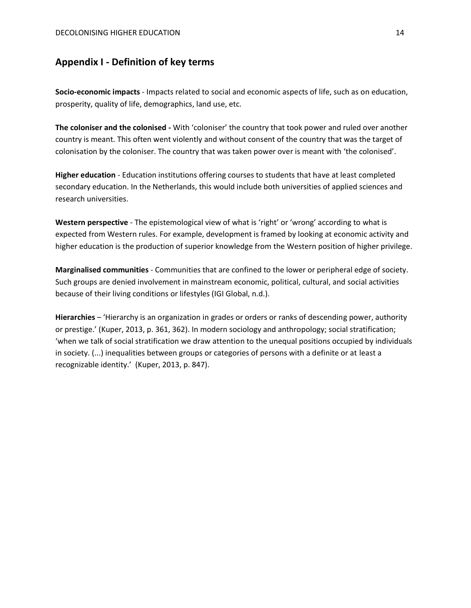# <span id="page-14-0"></span>**Appendix I - Definition of key terms**

**Socio-economic impacts** - Impacts related to social and economic aspects of life, such as on education, prosperity, quality of life, demographics, land use, etc.

**The coloniser and the colonised -** With 'coloniser' the country that took power and ruled over another country is meant. This often went violently and without consent of the country that was the target of colonisation by the coloniser. The country that was taken power over is meant with 'the colonised'.

**Higher education** - Education institutions offering courses to students that have at least completed secondary education. In the Netherlands, this would include both universities of applied sciences and research universities.

**Western perspective** - The epistemological view of what is 'right' or 'wrong' according to what is expected from Western rules. For example, development is framed by looking at economic activity and higher education is the production of superior knowledge from the Western position of higher privilege.

**Marginalised communities** - Communities that are confined to the lower or peripheral edge of society. Such groups are denied involvement in mainstream economic, political, cultural, and social activities because of their living conditions or lifestyles (IGI Global, n.d.).

**Hierarchies** – 'Hierarchy is an organization in grades or orders or ranks of descending power, authority or prestige.' (Kuper, 2013, p. 361, 362). In modern sociology and anthropology; social stratification; 'when we talk of social stratification we draw attention to the unequal positions occupied by individuals in society. (...) inequalities between groups or categories of persons with a definite or at least a recognizable identity.' (Kuper, 2013, p. 847).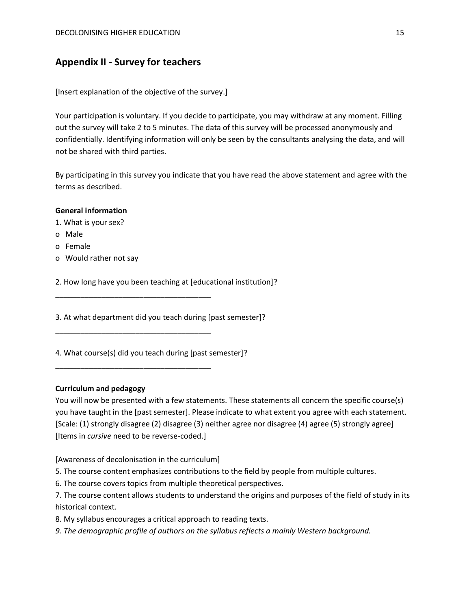# <span id="page-15-0"></span>**Appendix II - Survey for teachers**

[Insert explanation of the objective of the survey.]

Your participation is voluntary. If you decide to participate, you may withdraw at any moment. Filling out the survey will take 2 to 5 minutes. The data of this survey will be processed anonymously and confidentially. Identifying information will only be seen by the consultants analysing the data, and will not be shared with third parties.

By participating in this survey you indicate that you have read the above statement and agree with the terms as described.

## **General information**

1. What is your sex?

- o Male
- o Female
- o Would rather not say

2. How long have you been teaching at [educational institution]?

3. At what department did you teach during [past semester]?

4. What course(s) did you teach during [past semester]?

\_\_\_\_\_\_\_\_\_\_\_\_\_\_\_\_\_\_\_\_\_\_\_\_\_\_\_\_\_\_\_\_\_\_\_\_\_

\_\_\_\_\_\_\_\_\_\_\_\_\_\_\_\_\_\_\_\_\_\_\_\_\_\_\_\_\_\_\_\_\_\_\_\_\_

\_\_\_\_\_\_\_\_\_\_\_\_\_\_\_\_\_\_\_\_\_\_\_\_\_\_\_\_\_\_\_\_\_\_\_\_\_

#### **Curriculum and pedagogy**

You will now be presented with a few statements. These statements all concern the specific course(s) you have taught in the [past semester]. Please indicate to what extent you agree with each statement. [Scale: (1) strongly disagree (2) disagree (3) neither agree nor disagree (4) agree (5) strongly agree] [Items in *cursive* need to be reverse-coded.]

[Awareness of decolonisation in the curriculum]

5. The course content emphasizes contributions to the field by people from multiple cultures.

- 6. The course covers topics from multiple theoretical perspectives.
- 7. The course content allows students to understand the origins and purposes of the field of study in its historical context.
- 8. My syllabus encourages a critical approach to reading texts.
- *9. The demographic profile of authors on the syllabus reflects a mainly Western background.*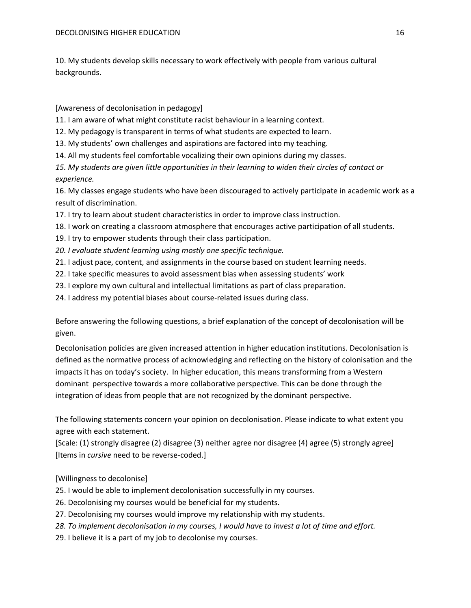10. My students develop skills necessary to work effectively with people from various cultural backgrounds.

[Awareness of decolonisation in pedagogy]

11. I am aware of what might constitute racist behaviour in a learning context.

12. My pedagogy is transparent in terms of what students are expected to learn.

13. My students' own challenges and aspirations are factored into my teaching.

14. All my students feel comfortable vocalizing their own opinions during my classes.

*15. My students are given little opportunities in their learning to widen their circles of contact or experience.*

16. My classes engage students who have been discouraged to actively participate in academic work as a result of discrimination.

17. I try to learn about student characteristics in order to improve class instruction.

18. I work on creating a classroom atmosphere that encourages active participation of all students.

- 19. I try to empower students through their class participation.
- *20. I evaluate student learning using mostly one specific technique.*
- 21. I adjust pace, content, and assignments in the course based on student learning needs.
- 22. I take specific measures to avoid assessment bias when assessing students' work
- 23. I explore my own cultural and intellectual limitations as part of class preparation.
- 24. I address my potential biases about course-related issues during class.

Before answering the following questions, a brief explanation of the concept of decolonisation will be given.

Decolonisation policies are given increased attention in higher education institutions. Decolonisation is defined as the normative process of acknowledging and reflecting on the history of colonisation and the impacts it has on today's society. In higher education, this means transforming from a Western dominant perspective towards a more collaborative perspective. This can be done through the integration of ideas from people that are not recognized by the dominant perspective.

The following statements concern your opinion on decolonisation. Please indicate to what extent you agree with each statement.

[Scale: (1) strongly disagree (2) disagree (3) neither agree nor disagree (4) agree (5) strongly agree] [Items in *cursive* need to be reverse-coded.]

[Willingness to decolonise]

- 25. I would be able to implement decolonisation successfully in my courses.
- 26. Decolonising my courses would be beneficial for my students.
- 27. Decolonising my courses would improve my relationship with my students.
- *28. To implement decolonisation in my courses, I would have to invest a lot of time and effort.*
- 29. I believe it is a part of my job to decolonise my courses.